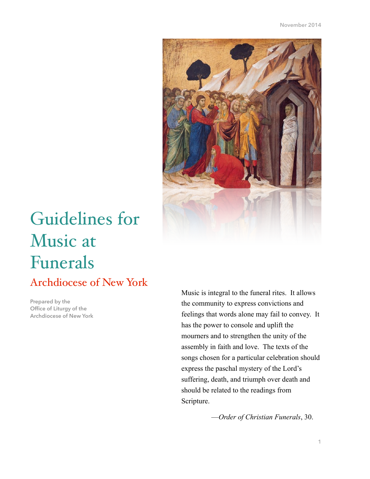

# Guidelines for Music at Funerals

# Archdiocese of New York

**Prepared by the Office of Liturgy of the Archdiocese of New York** 

Music is integral to the funeral rites. It allows the community to express convictions and feelings that words alone may fail to convey. It has the power to console and uplift the mourners and to strengthen the unity of the assembly in faith and love. The texts of the songs chosen for a particular celebration should express the paschal mystery of the Lord's suffering, death, and triumph over death and should be related to the readings from Scripture.

—*Order of Christian Funerals*, 30.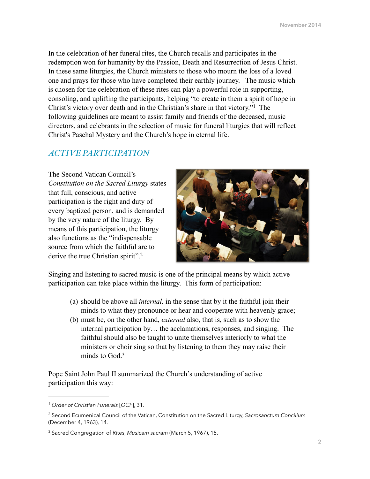In the celebration of her funeral rites, the Church recalls and participates in the redemption won for humanity by the Passion, Death and Resurrection of Jesus Christ. In these same liturgies, the Church ministers to those who mourn the loss of a loved one and prays for those who have completed their earthly journey. The music which is chosen for the celebration of these rites can play a powerful role in supporting, consoling, and uplifting the participants, helping "to create in them a spirit of hope in Christ's victory over death and in the Christian's share in that victory."<sup>1</sup> The following guidelines are meant to assist family and friends of the deceased, music directors, and celebrants in the selection of music for funeral liturgies that will reflect Christ's Paschal Mystery and the Church's hope in eternal life.

## *ACTIVE PARTICIPATION*

The Second Vatican Council's *Constitution on the Sacred Liturgy* states that full, conscious, and active participation is the right and duty of every baptized person, and is demanded by the very nature of the liturgy. By means of this participation, the liturgy also functions as the "indispensable source from which the faithful are to derive the true Christian spirit".2



Singing and listening to sacred music is one of the principal means by which active participation can take place within the liturgy. This form of participation:

- (a) should be above all *internal,* in the sense that by it the faithful join their minds to what they pronounce or hear and cooperate with heavenly grace;
- (b) must be, on the other hand, *external* also, that is, such as to show the internal participation by… the acclamations, responses, and singing. The faithful should also be taught to unite themselves interiorly to what the ministers or choir sing so that by listening to them they may raise their minds to God.3

Pope Saint John Paul II summarized the Church's understanding of active participation this way:

<sup>&</sup>lt;sup>1</sup> Order of Christian Funerals [OCF], 31.

<sup>2</sup> Second Ecumenical Council of the Vatican, Constitution on the Sacred Liturgy, *Sacrosanctum Concilium* (December 4, 1963), 14.

<sup>&</sup>lt;sup>3</sup> Sacred Congregation of Rites, *Musicam sacram* (March 5, 1967), 15.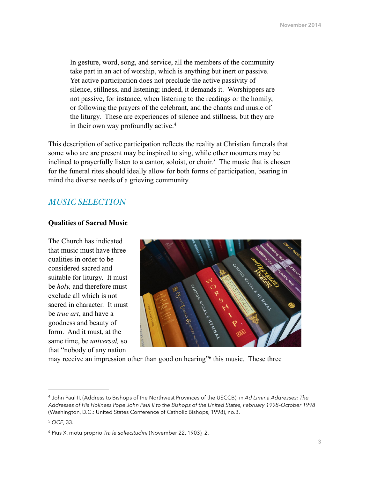In gesture, word, song, and service, all the members of the community take part in an act of worship, which is anything but inert or passive. Yet active participation does not preclude the active passivity of silence, stillness, and listening; indeed, it demands it. Worshippers are not passive, for instance, when listening to the readings or the homily, or following the prayers of the celebrant, and the chants and music of the liturgy. These are experiences of silence and stillness, but they are in their own way profoundly active.4

This description of active participation reflects the reality at Christian funerals that some who are are present may be inspired to sing, while other mourners may be inclined to prayerfully listen to a cantor, soloist, or choir.<sup>5</sup> The music that is chosen for the funeral rites should ideally allow for both forms of participation, bearing in mind the diverse needs of a grieving community.

# *MUSIC SELECTION*

#### **Qualities of Sacred Music**

The Church has indicated that music must have three qualities in order to be considered sacred and suitable for liturgy. It must be *holy,* and therefore must exclude all which is not sacred in character. It must be *true art*, and have a goodness and beauty of form. And it must, at the same time, be *universal,* so that "nobody of any nation



may receive an impression other than good on hearing" this music. These three

John Paul II, (Address to Bishops of the Northwest Provinces of the USCCB), in *Ad Limina Addresses: The* <sup>4</sup> *Addresses of His Holiness Pope John Paul II to the Bishops of the United States, February 1998–October 1998*  (Washington, D.C.: United States Conference of Catholic Bishops, 1998), no.3.

<sup>&</sup>lt;sup>5</sup> OCF, 33.

Pius X, motu proprio *Tra le sollecitudini* (November 22, 1903)*,* 2. <sup>6</sup>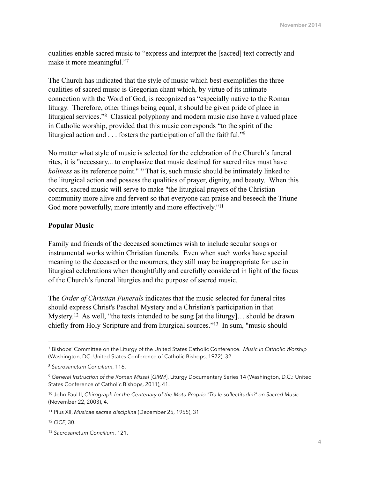qualities enable sacred music to "express and interpret the [sacred] text correctly and make it more meaningful."7

The Church has indicated that the style of music which best exemplifies the three qualities of sacred music is Gregorian chant which, by virtue of its intimate connection with the Word of God, is recognized as "especially native to the Roman liturgy. Therefore, other things being equal, it should be given pride of place in liturgical services."<sup>8</sup> Classical polyphony and modern music also have a valued place in Catholic worship, provided that this music corresponds "to the spirit of the liturgical action and  $\ldots$  fosters the participation of all the faithful."<sup>9</sup>

No matter what style of music is selected for the celebration of the Church's funeral rites, it is "necessary... to emphasize that music destined for sacred rites must have *holiness* as its reference point."<sup>10</sup> That is, such music should be intimately linked to the liturgical action and possess the qualities of prayer, dignity, and beauty. When this occurs, sacred music will serve to make "the liturgical prayers of the Christian community more alive and fervent so that everyone can praise and beseech the Triune God more powerfully, more intently and more effectively."<sup>11</sup>

#### **Popular Music**

Family and friends of the deceased sometimes wish to include secular songs or instrumental works within Christian funerals. Even when such works have special meaning to the deceased or the mourners, they still may be inappropriate for use in liturgical celebrations when thoughtfully and carefully considered in light of the focus of the Church's funeral liturgies and the purpose of sacred music.

The *Order of Christian Funerals* indicates that the music selected for funeral rites should express Christ's Paschal Mystery and a Christian's participation in that Mystery.<sup>12</sup> As well, "the texts intended to be sung [at the liturgy]... should be drawn chiefly from Holy Scripture and from liturgical sources."<sup>13</sup> In sum, "music should

Bishops' Committee on the Liturgy of the United States Catholic Conference. *Music in Catholic Worship* <sup>7</sup> (Washington, DC: United States Conference of Catholic Bishops, 1972), 32.

*Sacrosanctum Concilium*, 116. <sup>8</sup>

*General Instruction of the Roman Missal* [*GIRM*], Liturgy Documentary Series 14 (Washington, D.C.: United 9 States Conference of Catholic Bishops, 2011), 41.

<sup>&</sup>lt;sup>10</sup> John Paul II, *Chirograph for the Centenary of the Motu Proprio "Tra le sollectitudini" on Sacred Music* (November 22, 2003), 4.

<sup>&</sup>lt;sup>11</sup> Pius XII, *Musicae sacrae disciplina* (December 25, 1955), 31.

<sup>12</sup> OCF, 30.

<sup>&</sup>lt;sup>13</sup> Sacrosanctum Concilium, 121.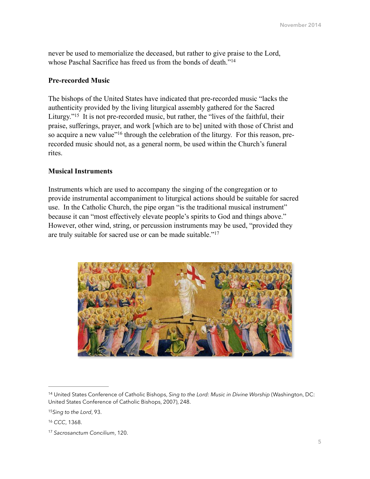never be used to memorialize the deceased, but rather to give praise to the Lord, whose Paschal Sacrifice has freed us from the bonds of death."<sup>14</sup>

#### **Pre-recorded Music**

The bishops of the United States have indicated that pre-recorded music "lacks the authenticity provided by the living liturgical assembly gathered for the Sacred Liturgy."<sup>15</sup> It is not pre-recorded music, but rather, the "lives of the faithful, their praise, sufferings, prayer, and work [which are to be] united with those of Christ and so acquire a new value"<sup>16</sup> through the celebration of the liturgy. For this reason, prerecorded music should not, as a general norm, be used within the Church's funeral rites.

#### **Musical Instruments**

Instruments which are used to accompany the singing of the congregation or to provide instrumental accompaniment to liturgical actions should be suitable for sacred use. In the Catholic Church, the pipe organ "is the traditional musical instrument" because it can "most effectively elevate people's spirits to God and things above." However, other wind, string, or percussion instruments may be used, "provided they are truly suitable for sacred use or can be made suitable."17



<sup>&</sup>lt;sup>14</sup> United States Conference of Catholic Bishops, *Sing to the Lord: Music in Divine Worship* (Washington, DC: United States Conference of Catholic Bishops, 2007), 248.

<sup>&</sup>lt;sup>15</sup> Sing to the Lord, 93.

<sup>&</sup>lt;sup>16</sup> CCC, 1368.

<sup>&</sup>lt;sup>17</sup> Sacrosanctum Concilium, 120.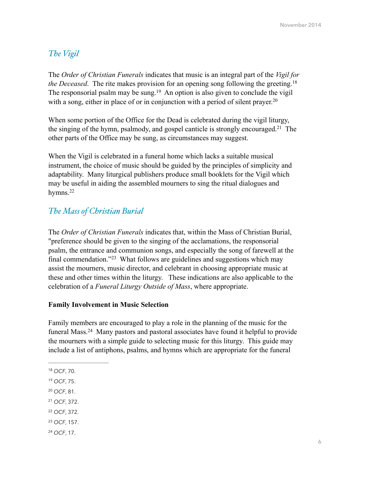# *The Vigil*

The *Order of Christian Funerals* indicates that music is an integral part of the *Vigil for the Deceased.* The rite makes provision for an opening song following the greeting.<sup>18</sup> The responsorial psalm may be sung.<sup>19</sup> An option is also given to conclude the vigil with a song, either in place of or in conjunction with a period of silent prayer.<sup>20</sup>

When some portion of the Office for the Dead is celebrated during the vigil liturgy, the singing of the hymn, psalmody, and gospel canticle is strongly encouraged.<sup>21</sup> The other parts of the Office may be sung, as circumstances may suggest.

When the Vigil is celebrated in a funeral home which lacks a suitable musical instrument, the choice of music should be guided by the principles of simplicity and adaptability. Many liturgical publishers produce small booklets for the Vigil which may be useful in aiding the assembled mourners to sing the ritual dialogues and hymns.<sup>22</sup>

# *The Mass of Christian Burial*

The *Order of Christian Funerals* indicates that, within the Mass of Christian Burial, "preference should be given to the singing of the acclamations, the responsorial psalm, the entrance and communion songs, and especially the song of farewell at the final commendation."<sup>23</sup> What follows are guidelines and suggestions which may assist the mourners, music director, and celebrant in choosing appropriate music at these and other times within the liturgy. These indications are also applicable to the celebration of a *Funeral Liturgy Outside of Mass*, where appropriate.

#### **Family Involvement in Music Selection**

Family members are encouraged to play a role in the planning of the music for the funeral Mass. $24$  Many pastors and pastoral associates have found it helpful to provide the mourners with a simple guide to selecting music for this liturgy. This guide may include a list of antiphons, psalms, and hymns which are appropriate for the funeral

- <sup>19</sup> OCF, 75.
- <sup>20</sup> OCF, 81.
- <sup>21</sup> OCF, 372.
- 22 OCF, 372.
- <sup>23</sup> OCF, 157.
- *OCF*, 17. <sup>24</sup>

<sup>18</sup> OCF, 70.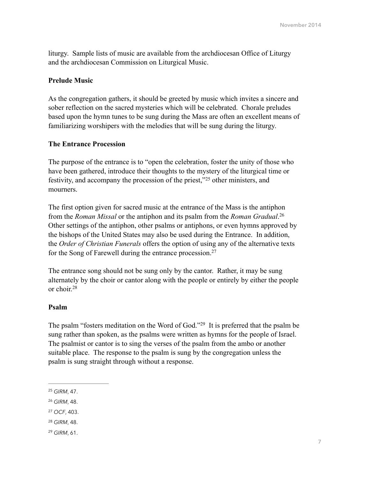liturgy. Sample lists of music are available from the archdiocesan Office of Liturgy and the archdiocesan Commission on Liturgical Music.

#### **Prelude Music**

As the congregation gathers, it should be greeted by music which invites a sincere and sober reflection on the sacred mysteries which will be celebrated. Chorale preludes based upon the hymn tunes to be sung during the Mass are often an excellent means of familiarizing worshipers with the melodies that will be sung during the liturgy.

#### **The Entrance Procession**

The purpose of the entrance is to "open the celebration, foster the unity of those who have been gathered, introduce their thoughts to the mystery of the liturgical time or festivity, and accompany the procession of the priest, $25$  other ministers, and mourners.

The first option given for sacred music at the entrance of the Mass is the antiphon from the *Roman Missal* or the antiphon and its psalm from the *Roman Gradual*. 26 Other settings of the antiphon, other psalms or antiphons, or even hymns approved by the bishops of the United States may also be used during the Entrance. In addition, the *Order of Christian Funerals* offers the option of using any of the alternative texts for the Song of Farewell during the entrance procession.27

The entrance song should not be sung only by the cantor. Rather, it may be sung alternately by the choir or cantor along with the people or entirely by either the people or choir.28

#### **Psalm**

The psalm "fosters meditation on the Word of God."<sup>29</sup> It is preferred that the psalm be sung rather than spoken, as the psalms were written as hymns for the people of Israel. The psalmist or cantor is to sing the verses of the psalm from the ambo or another suitable place. The response to the psalm is sung by the congregation unless the psalm is sung straight through without a response.

- <sup>28</sup> GIRM, 48.
- <sup>29</sup> GIRM, 61.

<sup>&</sup>lt;sup>25</sup> GIRM, 47.

<sup>&</sup>lt;sup>26</sup> GIRM, 48.

<sup>&</sup>lt;sup>27</sup> OCF, 403.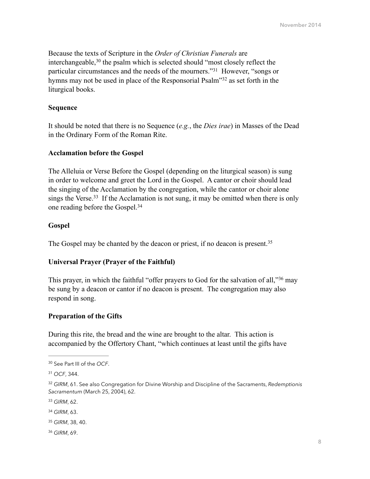Because the texts of Scripture in the *Order of Christian Funerals* are interchangeable,  $30$  the psalm which is selected should "most closely reflect the particular circumstances and the needs of the mourners."<sup>31</sup> However, "songs or hymns may not be used in place of the Responsorial Psalm"<sup>32</sup> as set forth in the liturgical books.

#### **Sequence**

It should be noted that there is no Sequence (*e.g.*, the *Dies irae*) in Masses of the Dead in the Ordinary Form of the Roman Rite.

#### **Acclamation before the Gospel**

The Alleluia or Verse Before the Gospel (depending on the liturgical season) is sung in order to welcome and greet the Lord in the Gospel. A cantor or choir should lead the singing of the Acclamation by the congregation, while the cantor or choir alone sings the Verse.<sup>33</sup> If the Acclamation is not sung, it may be omitted when there is only one reading before the Gospel.34

#### **Gospel**

The Gospel may be chanted by the deacon or priest, if no deacon is present.<sup>35</sup>

#### **Universal Prayer (Prayer of the Faithful)**

This prayer, in which the faithful "offer prayers to God for the salvation of all," $36$  may be sung by a deacon or cantor if no deacon is present. The congregation may also respond in song.

#### **Preparation of the Gifts**

During this rite, the bread and the wine are brought to the altar. This action is accompanied by the Offertory Chant, "which continues at least until the gifts have

*GIRM*, 69. <sup>36</sup>

See Part III of the *OCF*. <sup>30</sup>

<sup>31</sup> OCF, 344.

*GIRM*, 61. See also Congregation for Divine Worship and Discipline of the Sacraments, *Redemptionis* <sup>32</sup> *Sacramentum* (March 25, 2004), 62.

<sup>33</sup> GIRM, 62.

<sup>34</sup> GIRM, 63.

<sup>&</sup>lt;sup>35</sup> GIRM, 38, 40.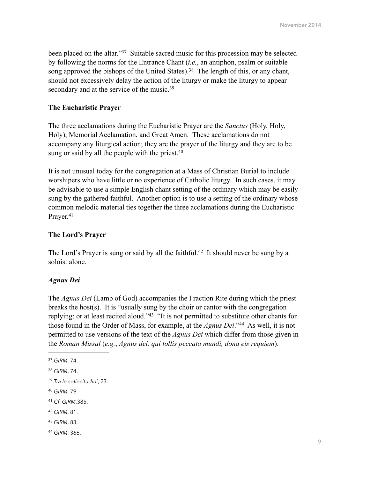been placed on the altar."<sup>37</sup> Suitable sacred music for this procession may be selected by following the norms for the Entrance Chant (*i.e.*, an antiphon, psalm or suitable song approved the bishops of the United States).<sup>38</sup> The length of this, or any chant, should not excessively delay the action of the liturgy or make the liturgy to appear secondary and at the service of the music.<sup>39</sup>

#### **The Eucharistic Prayer**

The three acclamations during the Eucharistic Prayer are the *Sanctus* (Holy, Holy, Holy), Memorial Acclamation, and Great Amen. These acclamations do not accompany any liturgical action; they are the prayer of the liturgy and they are to be sung or said by all the people with the priest.<sup>40</sup>

It is not unusual today for the congregation at a Mass of Christian Burial to include worshipers who have little or no experience of Catholic liturgy. In such cases, it may be advisable to use a simple English chant setting of the ordinary which may be easily sung by the gathered faithful. Another option is to use a setting of the ordinary whose common melodic material ties together the three acclamations during the Eucharistic Prayer.<sup>41</sup>

## **The Lord's Prayer**

The Lord's Prayer is sung or said by all the faithful.<sup>42</sup> It should never be sung by a soloist alone.

# *Agnus Dei*

The *Agnus Dei* (Lamb of God) accompanies the Fraction Rite during which the priest breaks the host(s). It is "usually sung by the choir or cantor with the congregation replying; or at least recited aloud."<sup>43</sup> "It is not permitted to substitute other chants for those found in the Order of Mass, for example, at the *Agnus Dei*."<sup>44</sup> As well, it is not permitted to use versions of the text of the *Agnus Dei* which differ from those given in the *Roman Missal* (*e.g.*, *Agnus dei, qui tollis peccata mundi, dona eis requiem*).

- *GIRM*, 81. <sup>42</sup>
- 43 GIRM, 83.
- *GIRM*, 366. <sup>44</sup>

<sup>&</sup>lt;sup>37</sup> GIRM, 74.

*GIRM*, 74. <sup>38</sup>

<sup>&</sup>lt;sup>39</sup> Tra le sollecitudini, 23.

*GIRM*, 79. <sup>40</sup>

*Cf*. *GIRM*,385. <sup>41</sup>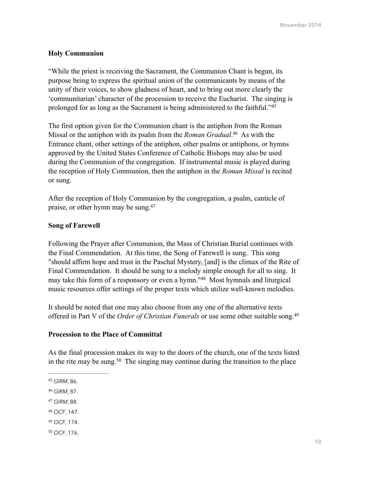#### **Holy Communion**

"While the priest is receiving the Sacrament, the Communion Chant is begun, its purpose being to express the spiritual union of the communicants by means of the unity of their voices, to show gladness of heart, and to bring out more clearly the 'communitarian' character of the procession to receive the Eucharist. The singing is prolonged for as long as the Sacrament is being administered to the faithful."45

The first option given for the Communion chant is the antiphon from the Roman Missal or the antiphon with its psalm from the *Roman Gradual*.<sup>46</sup> As with the Entrance chant, other settings of the antiphon, other psalms or antiphons, or hymns approved by the United States Conference of Catholic Bishops may also be used during the Communion of the congregation. If instrumental music is played during the reception of Holy Communion, then the antiphon in the *Roman Missal* is recited or sung.

After the reception of Holy Communion by the congregation, a psalm, canticle of praise, or other hymn may be sung.47

#### **Song of Farewell**

Following the Prayer after Communion, the Mass of Christian Burial continues with the Final Commendation. At this time, the Song of Farewell is sung. This song "should affirm hope and trust in the Paschal Mystery, [and] is the climax of the Rite of Final Commendation. It should be sung to a melody simple enough for all to sing. It may take this form of a responsory or even a hymn."<sup>48</sup> Most hymnals and liturgical music resources offer settings of the proper texts which utilize well-known melodies.

It should be noted that one may also choose from any one of the alternative texts offered in Part V of the *Order of Christian Funerals* or use some other suitable song.49

#### **Procession to the Place of Committal**

As the final procession makes its way to the doors of the church, one of the texts listed in the rite may be sung.<sup>50</sup> The singing may continue during the transition to the place

- <sup>47</sup> GIRM, 88.
- 48 OCF, 147.
- 49 OCF, 174.
- <sup>50</sup> OCF, 176.

<sup>&</sup>lt;sup>45</sup> GIRM, 86.

*GIRM*, 87. <sup>46</sup>